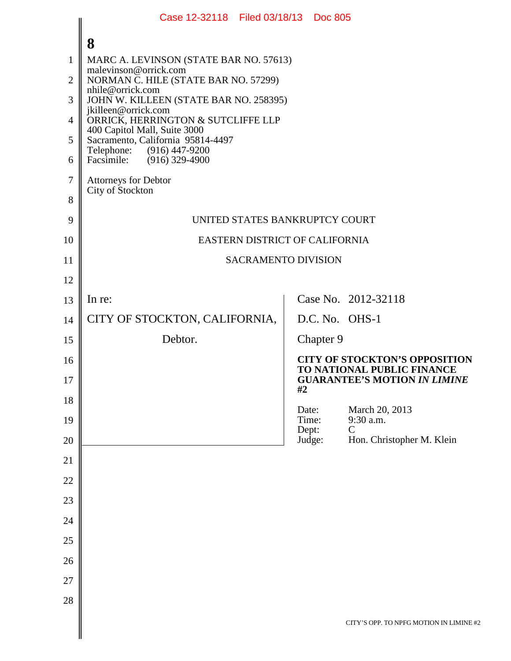| 8                                               |                                                                                                                                                                                     |                                                                         |                                                                                                                                                                                                                         |
|-------------------------------------------------|-------------------------------------------------------------------------------------------------------------------------------------------------------------------------------------|-------------------------------------------------------------------------|-------------------------------------------------------------------------------------------------------------------------------------------------------------------------------------------------------------------------|
|                                                 |                                                                                                                                                                                     |                                                                         |                                                                                                                                                                                                                         |
| NORMAN C. HILE (STATE BAR NO. 57299)            |                                                                                                                                                                                     |                                                                         |                                                                                                                                                                                                                         |
| JOHN W. KILLEEN (STATE BAR NO. 258395)          |                                                                                                                                                                                     |                                                                         |                                                                                                                                                                                                                         |
| ORRICK, HERRINGTON & SUTCLIFFE LLP              |                                                                                                                                                                                     |                                                                         |                                                                                                                                                                                                                         |
| Sacramento, California 95814-4497               |                                                                                                                                                                                     |                                                                         |                                                                                                                                                                                                                         |
| Facsimile: (916) 329-4900                       |                                                                                                                                                                                     |                                                                         |                                                                                                                                                                                                                         |
| <b>Attorneys for Debtor</b><br>City of Stockton |                                                                                                                                                                                     |                                                                         |                                                                                                                                                                                                                         |
|                                                 |                                                                                                                                                                                     |                                                                         |                                                                                                                                                                                                                         |
|                                                 |                                                                                                                                                                                     |                                                                         |                                                                                                                                                                                                                         |
|                                                 |                                                                                                                                                                                     |                                                                         |                                                                                                                                                                                                                         |
|                                                 |                                                                                                                                                                                     |                                                                         |                                                                                                                                                                                                                         |
|                                                 |                                                                                                                                                                                     |                                                                         |                                                                                                                                                                                                                         |
|                                                 |                                                                                                                                                                                     |                                                                         |                                                                                                                                                                                                                         |
|                                                 |                                                                                                                                                                                     |                                                                         |                                                                                                                                                                                                                         |
|                                                 |                                                                                                                                                                                     |                                                                         |                                                                                                                                                                                                                         |
|                                                 |                                                                                                                                                                                     |                                                                         | <b>CITY OF STOCKTON'S OPPOSITION</b><br>TO NATIONAL PUBLIC FINANCE<br><b>GUARANTEE'S MOTION IN LIMINE</b>                                                                                                               |
|                                                 |                                                                                                                                                                                     |                                                                         |                                                                                                                                                                                                                         |
|                                                 |                                                                                                                                                                                     |                                                                         | March 20, 2013<br>9:30 a.m.                                                                                                                                                                                             |
|                                                 |                                                                                                                                                                                     |                                                                         | Hon. Christopher M. Klein                                                                                                                                                                                               |
|                                                 |                                                                                                                                                                                     |                                                                         |                                                                                                                                                                                                                         |
|                                                 |                                                                                                                                                                                     |                                                                         |                                                                                                                                                                                                                         |
|                                                 |                                                                                                                                                                                     |                                                                         |                                                                                                                                                                                                                         |
|                                                 |                                                                                                                                                                                     |                                                                         |                                                                                                                                                                                                                         |
|                                                 |                                                                                                                                                                                     |                                                                         |                                                                                                                                                                                                                         |
|                                                 |                                                                                                                                                                                     |                                                                         |                                                                                                                                                                                                                         |
|                                                 |                                                                                                                                                                                     |                                                                         |                                                                                                                                                                                                                         |
|                                                 |                                                                                                                                                                                     |                                                                         |                                                                                                                                                                                                                         |
|                                                 |                                                                                                                                                                                     |                                                                         | CITY'S OPP. TO NPFG MOTION IN LIMINE #2                                                                                                                                                                                 |
|                                                 | malevinson@orrick.com<br>nhile@orrick.com<br>jkilleen@orrick.com<br>400 Capitol Mall, Suite 3000<br>Telephone: (916) 447-9200<br>In re:<br>CITY OF STOCKTON, CALIFORNIA,<br>Debtor. | MARC A. LEVINSON (STATE BAR NO. 57613)<br>#2<br>Date:<br>Time:<br>Dept: | Case 12-32118 Filed 03/18/13 Doc 805<br>UNITED STATES BANKRUPTCY COURT<br>EASTERN DISTRICT OF CALIFORNIA<br><b>SACRAMENTO DIVISION</b><br>Case No. 2012-32118<br>D.C. No. OHS-1<br>Chapter 9<br>$\mathcal{C}$<br>Judge: |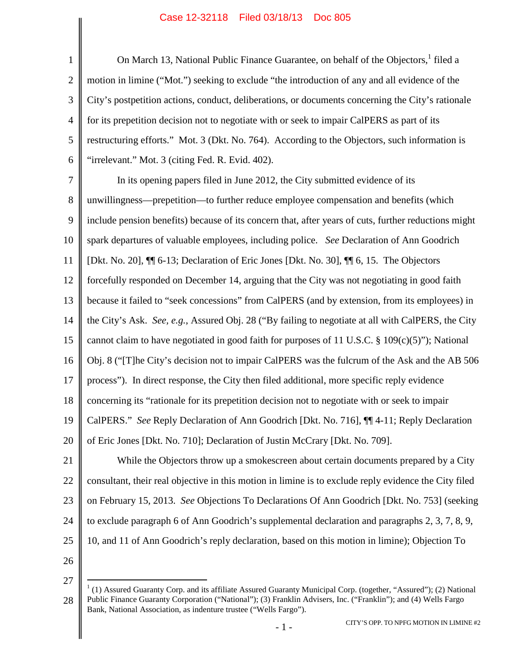1 2 3 4 5 6 7 8 9 10 11 12 13 14 15 On March [1](#page-1-0)3, National Public Finance Guarantee, on behalf of the Objectors, <sup>1</sup> filed a motion in limine ("Mot.") seeking to exclude "the introduction of any and all evidence of the City's postpetition actions, conduct, deliberations, or documents concerning the City's rationale for its prepetition decision not to negotiate with or seek to impair CalPERS as part of its restructuring efforts." Mot. 3 (Dkt. No. 764). According to the Objectors, such information is "irrelevant." Mot. 3 (citing Fed. R. Evid. 402). In its opening papers filed in June 2012, the City submitted evidence of its unwillingness—prepetition—to further reduce employee compensation and benefits (which include pension benefits) because of its concern that, after years of cuts, further reductions might spark departures of valuable employees, including police. *See* Declaration of Ann Goodrich [Dkt. No. 20], ¶¶ 6-13; Declaration of Eric Jones [Dkt. No. 30], ¶¶ 6, 15. The Objectors forcefully responded on December 14, arguing that the City was not negotiating in good faith because it failed to "seek concessions" from CalPERS (and by extension, from its employees) in the City's Ask. *See, e.g.*, Assured Obj. 28 ("By failing to negotiate at all with CalPERS, the City cannot claim to have negotiated in good faith for purposes of 11 U.S.C. § 109 $(c)(5)$ "); National

16 Obj. 8 ("[T]he City's decision not to impair CalPERS was the fulcrum of the Ask and the AB 506

17 process"). In direct response, the City then filed additional, more specific reply evidence

18 concerning its "rationale for its prepetition decision not to negotiate with or seek to impair

19 CalPERS." *See* Reply Declaration of Ann Goodrich [Dkt. No. 716], ¶¶ 4-11; Reply Declaration

20 of Eric Jones [Dkt. No. 710]; Declaration of Justin McCrary [Dkt. No. 709].

21 22 23 24 25 While the Objectors throw up a smokescreen about certain documents prepared by a City consultant, their real objective in this motion in limine is to exclude reply evidence the City filed on February 15, 2013. *See* Objections To Declarations Of Ann Goodrich [Dkt. No. 753] (seeking to exclude paragraph 6 of Ann Goodrich's supplemental declaration and paragraphs 2, 3, 7, 8, 9, 10, and 11 of Ann Goodrich's reply declaration, based on this motion in limine); Objection To

26

<span id="page-1-0"></span><sup>28</sup>  $1(1)$  Assured Guaranty Corp. and its affiliate Assured Guaranty Municipal Corp. (together, "Assured"); (2) National Public Finance Guaranty Corporation ("National"); (3) Franklin Advisers, Inc. ("Franklin"); and (4) Wells Fargo Bank, National Association, as indenture trustee ("Wells Fargo").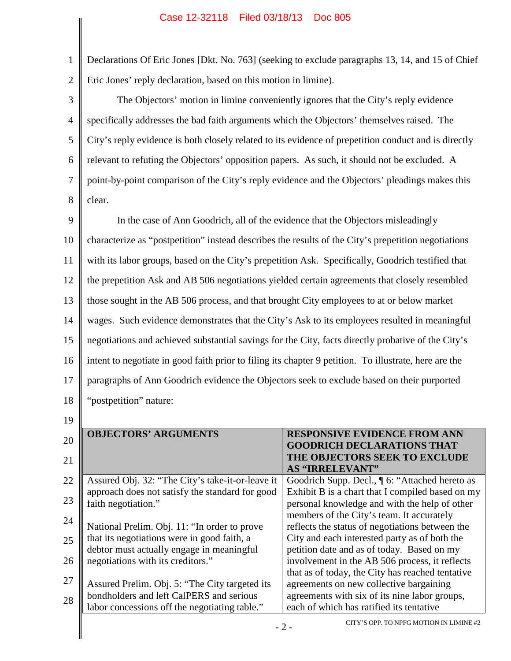1 2 Declarations Of Eric Jones [Dkt. No. 763] (seeking to exclude paragraphs 13, 14, and 15 of Chief Eric Jones' reply declaration, based on this motion in limine).

3 4 5 6 7 8 The Objectors' motion in limine conveniently ignores that the City's reply evidence specifically addresses the bad faith arguments which the Objectors' themselves raised. The City's reply evidence is both closely related to its evidence of prepetition conduct and is directly relevant to refuting the Objectors' opposition papers. As such, it should not be excluded. A point-by-point comparison of the City's reply evidence and the Objectors' pleadings makes this clear.

9 10 11 12 13 14 15 16 17 18 In the case of Ann Goodrich, all of the evidence that the Objectors misleadingly characterize as "postpetition" instead describes the results of the City's prepetition negotiations with its labor groups, based on the City's prepetition Ask. Specifically, Goodrich testified that the prepetition Ask and AB 506 negotiations yielded certain agreements that closely resembled those sought in the AB 506 process, and that brought City employees to at or below market wages. Such evidence demonstrates that the City's Ask to its employees resulted in meaningful negotiations and achieved substantial savings for the City, facts directly probative of the City's intent to negotiate in good faith prior to filing its chapter 9 petition. To illustrate, here are the paragraphs of Ann Goodrich evidence the Objectors seek to exclude based on their purported "postpetition" nature:

19

 $\parallel$ 

| 20 | <b>OBJECTORS' ARGUMENTS</b>                                                                 | <b>RESPONSIVE EVIDENCE FROM ANN</b><br><b>GOODRICH DECLARATIONS THAT</b><br>THE OBJECTORS SEEK TO EXCLUDE |
|----|---------------------------------------------------------------------------------------------|-----------------------------------------------------------------------------------------------------------|
| 21 |                                                                                             | <b>AS "IRRELEVANT"</b>                                                                                    |
| 22 | Assured Obj. 32: "The City's take-it-or-leave it                                            | Goodrich Supp. Decl., ¶ 6: "Attached hereto as                                                            |
| 23 | approach does not satisfy the standard for good                                             | Exhibit B is a chart that I compiled based on my                                                          |
|    | faith negotiation."                                                                         | personal knowledge and with the help of other                                                             |
| 24 |                                                                                             | members of the City's team. It accurately                                                                 |
|    | National Prelim. Obj. 11: "In order to prove<br>that its negotiations were in good faith, a | reflects the status of negotiations between the<br>City and each interested party as of both the          |
| 25 | debtor must actually engage in meaningful                                                   | petition date and as of today. Based on my                                                                |
| 26 | negotiations with its creditors."                                                           | involvement in the AB 506 process, it reflects                                                            |
|    |                                                                                             | that as of today, the City has reached tentative                                                          |
| 27 | Assured Prelim. Obj. 5: "The City targeted its                                              | agreements on new collective bargaining                                                                   |
| 28 | bondholders and left CalPERS and serious                                                    | agreements with six of its nine labor groups,                                                             |
|    | labor concessions off the negotiating table."                                               | each of which has ratified its tentative                                                                  |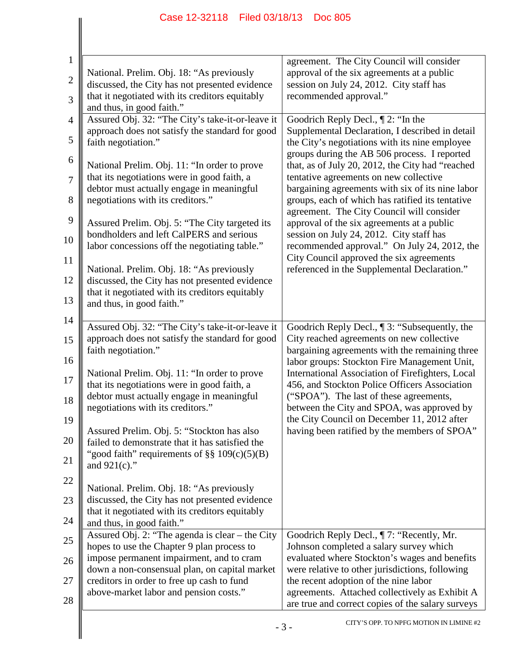| 1            | National. Prelim. Obj. 18: "As previously                                                           | agreement. The City Council will consider<br>approval of the six agreements at a public                                                           |
|--------------|-----------------------------------------------------------------------------------------------------|---------------------------------------------------------------------------------------------------------------------------------------------------|
| $\mathbf{2}$ | discussed, the City has not presented evidence                                                      | session on July 24, 2012. City staff has                                                                                                          |
| 3            | that it negotiated with its creditors equitably                                                     | recommended approval."                                                                                                                            |
|              | and thus, in good faith."                                                                           |                                                                                                                                                   |
| 4            | Assured Obj. 32: "The City's take-it-or-leave it                                                    | Goodrich Reply Decl., $\P$ 2: "In the                                                                                                             |
| 5            | approach does not satisfy the standard for good<br>faith negotiation."                              | Supplemental Declaration, I described in detail<br>the City's negotiations with its nine employee<br>groups during the AB 506 process. I reported |
| 6<br>7       | National Prelim. Obj. 11: "In order to prove<br>that its negotiations were in good faith, a         | that, as of July 20, 2012, the City had "reached<br>tentative agreements on new collective                                                        |
| 8            | debtor must actually engage in meaningful<br>negotiations with its creditors."                      | bargaining agreements with six of its nine labor<br>groups, each of which has ratified its tentative                                              |
| 9            | Assured Prelim. Obj. 5: "The City targeted its                                                      | agreement. The City Council will consider<br>approval of the six agreements at a public                                                           |
| 10           | bondholders and left CalPERS and serious<br>labor concessions off the negotiating table."           | session on July 24, 2012. City staff has<br>recommended approval." On July 24, 2012, the                                                          |
| 11<br>12     | National. Prelim. Obj. 18: "As previously<br>discussed, the City has not presented evidence         | City Council approved the six agreements<br>referenced in the Supplemental Declaration."                                                          |
| 13           | that it negotiated with its creditors equitably<br>and thus, in good faith."                        |                                                                                                                                                   |
| 14           |                                                                                                     |                                                                                                                                                   |
|              | Assured Obj. 32: "The City's take-it-or-leave it                                                    | Goodrich Reply Decl., ¶ 3: "Subsequently, the                                                                                                     |
|              | approach does not satisfy the standard for good                                                     | City reached agreements on new collective                                                                                                         |
| 16           | faith negotiation."                                                                                 | bargaining agreements with the remaining three<br>labor groups: Stockton Fire Management Unit,                                                    |
|              | National Prelim. Obj. 11: "In order to prove<br>that its negotiations were in good faith, a         | International Association of Firefighters, Local<br>456, and Stockton Police Officers Association                                                 |
| 18           | debtor must actually engage in meaningful                                                           | ("SPOA"). The last of these agreements,                                                                                                           |
| 19           | negotiations with its creditors."                                                                   | between the City and SPOA, was approved by<br>the City Council on December 11, 2012 after                                                         |
| 20           | Assured Prelim. Obj. 5: "Stockton has also                                                          | having been ratified by the members of SPOA"                                                                                                      |
|              | failed to demonstrate that it has satisfied the<br>"good faith" requirements of $\S\S 109(c)(5)(B)$ |                                                                                                                                                   |
|              | and $921(c)$ ."                                                                                     |                                                                                                                                                   |
| 22           | National. Prelim. Obj. 18: "As previously                                                           |                                                                                                                                                   |
|              | discussed, the City has not presented evidence                                                      |                                                                                                                                                   |
| 24           | that it negotiated with its creditors equitably<br>and thus, in good faith."                        |                                                                                                                                                   |
|              | Assured Obj. 2: "The agenda is clear - the City                                                     | Goodrich Reply Decl., ¶7: "Recently, Mr.                                                                                                          |
|              | hopes to use the Chapter 9 plan process to                                                          | Johnson completed a salary survey which                                                                                                           |
|              | impose permanent impairment, and to cram                                                            | evaluated where Stockton's wages and benefits                                                                                                     |
|              | down a non-consensual plan, on capital market<br>creditors in order to free up cash to fund         | were relative to other jurisdictions, following<br>the recent adoption of the nine labor                                                          |
|              | above-market labor and pension costs."                                                              | agreements. Attached collectively as Exhibit A                                                                                                    |
| 28           |                                                                                                     | are true and correct copies of the salary surveys                                                                                                 |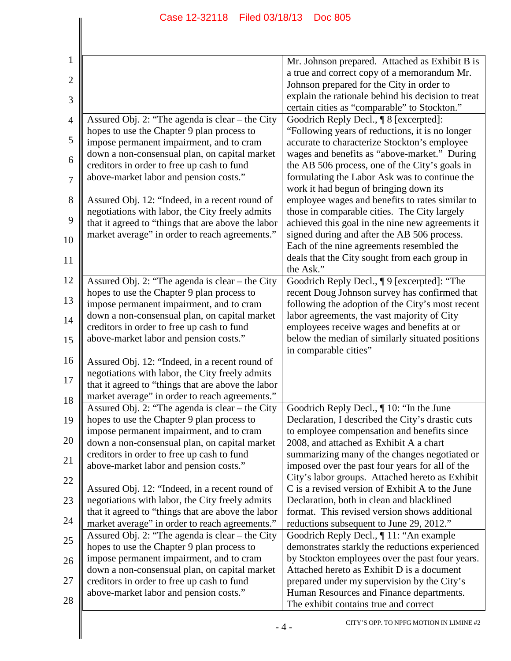| $\mathbf{1}$   |                                                                                                   | Mr. Johnson prepared. Attached as Exhibit B is                                                  |
|----------------|---------------------------------------------------------------------------------------------------|-------------------------------------------------------------------------------------------------|
| $\overline{2}$ |                                                                                                   | a true and correct copy of a memorandum Mr.                                                     |
|                |                                                                                                   | Johnson prepared for the City in order to<br>explain the rationale behind his decision to treat |
| 3              |                                                                                                   | certain cities as "comparable" to Stockton."                                                    |
| 4              | Assured Obj. 2: "The agenda is clear – the City                                                   | Goodrich Reply Decl., ¶ 8 [excerpted]:                                                          |
|                | hopes to use the Chapter 9 plan process to                                                        | "Following years of reductions, it is no longer                                                 |
| 5              | impose permanent impairment, and to cram                                                          | accurate to characterize Stockton's employee                                                    |
| 6              | down a non-consensual plan, on capital market                                                     | wages and benefits as "above-market." During                                                    |
|                | creditors in order to free up cash to fund                                                        | the AB 506 process, one of the City's goals in                                                  |
| 7              | above-market labor and pension costs."                                                            | formulating the Labor Ask was to continue the<br>work it had begun of bringing down its         |
| 8              | Assured Obj. 12: "Indeed, in a recent round of                                                    | employee wages and benefits to rates similar to                                                 |
|                | negotiations with labor, the City freely admits                                                   | those in comparable cities. The City largely                                                    |
| 9              | that it agreed to "things that are above the labor                                                | achieved this goal in the nine new agreements it                                                |
| 10             | market average" in order to reach agreements."                                                    | signed during and after the AB 506 process.                                                     |
|                |                                                                                                   | Each of the nine agreements resembled the                                                       |
| 11             |                                                                                                   | deals that the City sought from each group in                                                   |
| 12             | Assured Obj. 2: "The agenda is clear – the City                                                   | the Ask."<br>Goodrich Reply Decl., ¶ 9 [excerpted]: "The                                        |
|                | hopes to use the Chapter 9 plan process to                                                        | recent Doug Johnson survey has confirmed that                                                   |
| 13             | impose permanent impairment, and to cram                                                          | following the adoption of the City's most recent                                                |
| 14             | down a non-consensual plan, on capital market                                                     | labor agreements, the vast majority of City                                                     |
|                | creditors in order to free up cash to fund                                                        | employees receive wages and benefits at or                                                      |
| 15             | above-market labor and pension costs."                                                            | below the median of similarly situated positions                                                |
| 16             |                                                                                                   | in comparable cities"                                                                           |
|                | Assured Obj. 12: "Indeed, in a recent round of<br>negotiations with labor, the City freely admits |                                                                                                 |
| 17             | that it agreed to "things that are above the labor                                                |                                                                                                 |
| 18             | market average" in order to reach agreements."                                                    |                                                                                                 |
|                | Assured Obj. 2: "The agenda is clear – the City                                                   | Goodrich Reply Decl., ¶ 10: "In the June                                                        |
| 19             | hopes to use the Chapter 9 plan process to                                                        | Declaration, I described the City's drastic cuts                                                |
| 20             | impose permanent impairment, and to cram                                                          | to employee compensation and benefits since<br>2008, and attached as Exhibit A a chart          |
|                | down a non-consensual plan, on capital market<br>creditors in order to free up cash to fund       | summarizing many of the changes negotiated or                                                   |
| 21             | above-market labor and pension costs."                                                            | imposed over the past four years for all of the                                                 |
| 22             |                                                                                                   | City's labor groups. Attached hereto as Exhibit                                                 |
|                | Assured Obj. 12: "Indeed, in a recent round of                                                    | C is a revised version of Exhibit A to the June                                                 |
| 23             | negotiations with labor, the City freely admits                                                   | Declaration, both in clean and blacklined                                                       |
| 24             | that it agreed to "things that are above the labor                                                | format. This revised version shows additional                                                   |
|                | market average" in order to reach agreements."<br>Assured Obj. 2: "The agenda is clear - the City | reductions subsequent to June 29, 2012."<br>Goodrich Reply Decl., ¶11: "An example              |
| 25             | hopes to use the Chapter 9 plan process to                                                        | demonstrates starkly the reductions experienced                                                 |
| 26             | impose permanent impairment, and to cram                                                          | by Stockton employees over the past four years.                                                 |
|                | down a non-consensual plan, on capital market                                                     | Attached hereto as Exhibit D is a document                                                      |
| 27             | creditors in order to free up cash to fund                                                        | prepared under my supervision by the City's                                                     |
| 28             | above-market labor and pension costs."                                                            | Human Resources and Finance departments.<br>The exhibit contains true and correct               |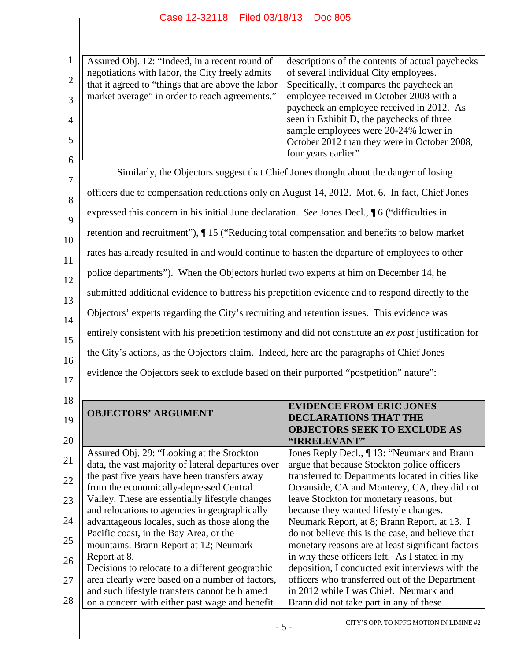|                | Assured Obj. 12: "Indeed, in a recent round of                                                        | descriptions of the contents of actual paychecks |
|----------------|-------------------------------------------------------------------------------------------------------|--------------------------------------------------|
| $\overline{2}$ | negotiations with labor, the City freely admits<br>that it agreed to "things that are above the labor | of several individual City employees.            |
|                |                                                                                                       | Specifically, it compares the paycheck an        |
|                | market average" in order to reach agreements."                                                        | employee received in October 2008 with a         |
|                |                                                                                                       | paycheck an employee received in 2012. As        |
| 4              |                                                                                                       | seen in Exhibit D, the paychecks of three        |
|                |                                                                                                       | sample employees were 20-24% lower in            |
| 5              |                                                                                                       | October 2012 than they were in October 2008,     |
| 6              |                                                                                                       | four years earlier"                              |
|                |                                                                                                       |                                                  |

7 8 9 10 11 12 13 14 15 16 Similarly, the Objectors suggest that Chief Jones thought about the danger of losing officers due to compensation reductions only on August 14, 2012. Mot. 6. In fact, Chief Jones expressed this concern in his initial June declaration. *See* Jones Decl., ¶ 6 ("difficulties in retention and recruitment"), ¶ 15 ("Reducing total compensation and benefits to below market rates has already resulted in and would continue to hasten the departure of employees to other police departments"). When the Objectors hurled two experts at him on December 14, he submitted additional evidence to buttress his prepetition evidence and to respond directly to the Objectors' experts regarding the City's recruiting and retention issues. This evidence was entirely consistent with his prepetition testimony and did not constitute an *ex post* justification for the City's actions, as the Objectors claim. Indeed, here are the paragraphs of Chief Jones evidence the Objectors seek to exclude based on their purported "postpetition" nature":

| 18 |                                                    |                                                   |  |  |
|----|----------------------------------------------------|---------------------------------------------------|--|--|
|    |                                                    | <b>EVIDENCE FROM ERIC JONES</b>                   |  |  |
| 19 | <b>OBJECTORS' ARGUMENT</b>                         | <b>DECLARATIONS THAT THE</b>                      |  |  |
|    |                                                    | <b>OBJECTORS SEEK TO EXCLUDE AS</b>               |  |  |
| 20 |                                                    | "IRRELEVANT"                                      |  |  |
| 21 | Assured Obj. 29: "Looking at the Stockton"         | Jones Reply Decl., ¶13: "Neumark and Brann        |  |  |
|    | data, the vast majority of lateral departures over | argue that because Stockton police officers       |  |  |
| 22 | the past five years have been transfers away       | transferred to Departments located in cities like |  |  |
|    | from the economically-depressed Central            | Oceanside, CA and Monterey, CA, they did not      |  |  |
| 23 | Valley. These are essentially lifestyle changes    | leave Stockton for monetary reasons, but          |  |  |
|    | and relocations to agencies in geographically      | because they wanted lifestyle changes.            |  |  |
| 24 | advantageous locales, such as those along the      | Neumark Report, at 8; Brann Report, at 13. I      |  |  |
|    | Pacific coast, in the Bay Area, or the             | do not believe this is the case, and believe that |  |  |
| 25 | mountains. Brann Report at 12; Neumark             | monetary reasons are at least significant factors |  |  |
| 26 | Report at 8.                                       | in why these officers left. As I stated in my     |  |  |
|    | Decisions to relocate to a different geographic    | deposition, I conducted exit interviews with the  |  |  |
| 27 | area clearly were based on a number of factors,    | officers who transferred out of the Department    |  |  |
|    | and such lifestyle transfers cannot be blamed      | in 2012 while I was Chief. Neumark and            |  |  |
| 28 | on a concern with either past wage and benefit     | Brann did not take part in any of these           |  |  |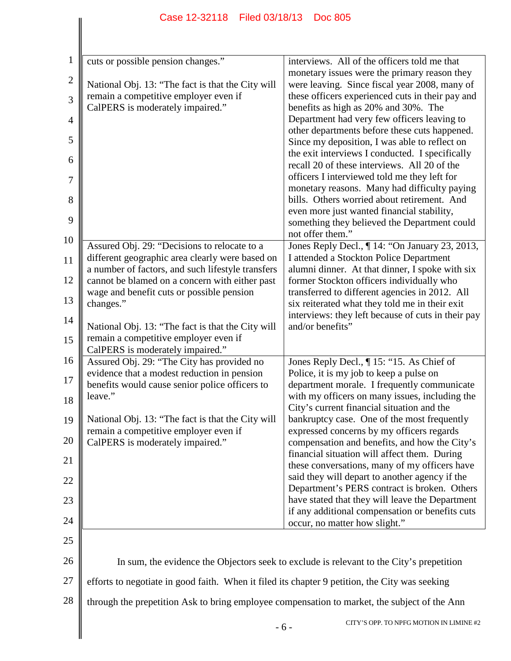| $\mathbf{1}$   | cuts or possible pension changes."                                                              | interviews. All of the officers told me that                                                    |  |
|----------------|-------------------------------------------------------------------------------------------------|-------------------------------------------------------------------------------------------------|--|
| $\mathbf{2}$   | National Obj. 13: "The fact is that the City will                                               | monetary issues were the primary reason they<br>were leaving. Since fiscal year 2008, many of   |  |
| 3              | remain a competitive employer even if                                                           | these officers experienced cuts in their pay and                                                |  |
|                | CalPERS is moderately impaired."                                                                | benefits as high as 20% and 30%. The                                                            |  |
| $\overline{4}$ |                                                                                                 | Department had very few officers leaving to<br>other departments before these cuts happened.    |  |
| 5              |                                                                                                 | Since my deposition, I was able to reflect on                                                   |  |
| 6              |                                                                                                 | the exit interviews I conducted. I specifically<br>recall 20 of these interviews. All 20 of the |  |
| 7              |                                                                                                 | officers I interviewed told me they left for                                                    |  |
|                |                                                                                                 | monetary reasons. Many had difficulty paying                                                    |  |
| 8              |                                                                                                 | bills. Others worried about retirement. And<br>even more just wanted financial stability,       |  |
| 9              |                                                                                                 | something they believed the Department could                                                    |  |
| 10             |                                                                                                 | not offer them."                                                                                |  |
| 11             | Assured Obj. 29: "Decisions to relocate to a<br>different geographic area clearly were based on | Jones Reply Decl., 14: "On January 23, 2013,<br>I attended a Stockton Police Department         |  |
|                | a number of factors, and such lifestyle transfers                                               | alumni dinner. At that dinner, I spoke with six                                                 |  |
| 12             | cannot be blamed on a concern with either past<br>wage and benefit cuts or possible pension     | former Stockton officers individually who<br>transferred to different agencies in 2012. All     |  |
| 13             | changes."                                                                                       | six reiterated what they told me in their exit                                                  |  |
| 14             |                                                                                                 | interviews: they left because of cuts in their pay                                              |  |
| 15             | National Obj. 13: "The fact is that the City will<br>remain a competitive employer even if      | and/or benefits"                                                                                |  |
|                | CalPERS is moderately impaired."                                                                |                                                                                                 |  |
| 16             | Assured Obj. 29: "The City has provided no<br>evidence that a modest reduction in pension       | Jones Reply Decl., ¶ 15: "15. As Chief of<br>Police, it is my job to keep a pulse on            |  |
| 17             | benefits would cause senior police officers to                                                  | department morale. I frequently communicate                                                     |  |
| 18             | leave."                                                                                         | with my officers on many issues, including the                                                  |  |
| 19             | National Obj. 13: "The fact is that the City will                                               | City's current financial situation and the<br>bankruptcy case. One of the most frequently       |  |
|                | remain a competitive employer even if                                                           | expressed concerns by my officers regards                                                       |  |
| 20             | CalPERS is moderately impaired."                                                                | compensation and benefits, and how the City's<br>financial situation will affect them. During   |  |
| 21             |                                                                                                 | these conversations, many of my officers have                                                   |  |
| 22             |                                                                                                 | said they will depart to another agency if the                                                  |  |
| 23             |                                                                                                 | Department's PERS contract is broken. Others<br>have stated that they will leave the Department |  |
|                |                                                                                                 | if any additional compensation or benefits cuts                                                 |  |
| 24             |                                                                                                 | occur, no matter how slight."                                                                   |  |
| 25             |                                                                                                 |                                                                                                 |  |
| 26             |                                                                                                 | In sum, the evidence the Objectors seek to exclude is relevant to the City's prepetition        |  |
| 27             | efforts to negotiate in good faith. When it filed its chapter 9 petition, the City was seeking  |                                                                                                 |  |
| 28             | through the prepetition Ask to bring employee compensation to market, the subject of the Ann    |                                                                                                 |  |
|                |                                                                                                 | CITY'S OPP. TO NPFG MOTION IN LIMINE #2<br>$-6-$                                                |  |
|                |                                                                                                 |                                                                                                 |  |